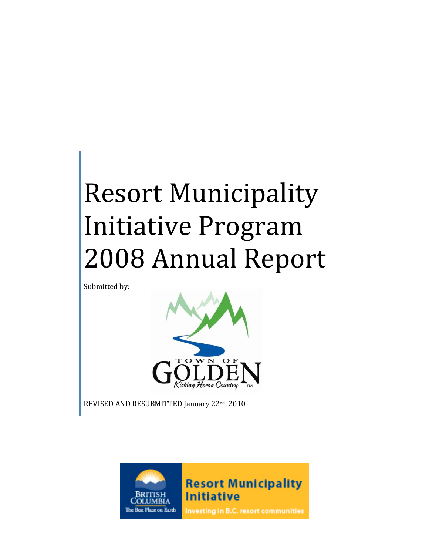# Resort Municipality Initiative Program 2008 Annual Report

Submitted by:



REVISED AND RESUBMITTED January 22<sup>nd</sup>, 2010

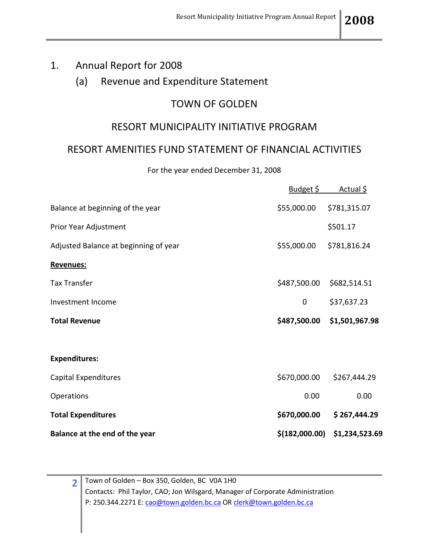#### 1. Annual Report for 2008

#### (a) Revenue and Expenditure Statement

### TOWN OF GOLDEN

#### RESORT MUNICIPALITY INITIATIVE PROGRAM

#### RESORT AMENITIES FUND STATEMENT OF FINANCIAL ACTIVITIES

For the year ended December 31, 2008

|                                       | <u>Budget \$</u> | <u>Actual \$</u> |
|---------------------------------------|------------------|------------------|
| Balance at beginning of the year      | \$55,000.00      | \$781,315.07     |
| Prior Year Adjustment                 |                  | \$501.17         |
| Adjusted Balance at beginning of year | \$55,000.00      | \$781,816.24     |
| Revenues:                             |                  |                  |
| <b>Tax Transfer</b>                   | \$487,500.00     | \$682,514.51     |
| Investment Income                     | $\mathbf 0$      | \$37,637.23      |
| <b>Total Revenue</b>                  | \$487,500.00     | \$1,501,967.98   |
|                                       |                  |                  |
| <b>Expenditures:</b>                  |                  |                  |
| Capital Expenditures                  | \$670,000.00     | \$267,444.29     |
| Operations                            | 0.00             | 0.00             |
| <b>Total Expenditures</b>             | \$670,000.00     | \$267,444.29     |
| Balance at the end of the year        | \$(182,000.00)   | \$1,234,523.69   |

**2** Town of Golden – Box 350, Golden, BC V0A 1H0 Contacts: Phil Taylor, CAO; Jon Wilsgard, Manager of Corporate Administration P: 250.344.2271 E[: cao@town.golden.bc.ca](mailto:cao@town.golden.bc.ca) O[R clerk@town.golden.bc.ca](mailto:clerk@town.golden.bc.ca)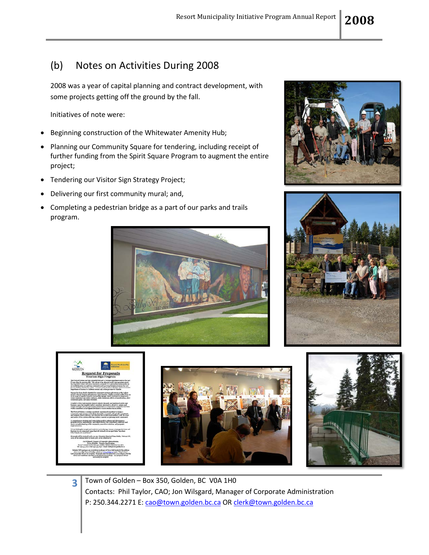# (b) Notes on Activities During 2008

2008 was a year of capital planning and contract development, with some projects getting off the ground by the fall.

Initiatives of note were:

- Beginning construction of the Whitewater Amenity Hub;
- Planning our Community Square for tendering, including receipt of further funding from the Spirit Square Program to augment the entire project;
- Tendering our Visitor Sign Strategy Project;
- Delivering our first community mural; and,
- Completing a pedestrian bridge as a part of our parks and trails program.













**3** Town of Golden – Box 350, Golden, BC V0A 1H0 Contacts: Phil Taylor, CAO; Jon Wilsgard, Manager of Corporate Administration P: 250.344.2271 E[: cao@town.golden.bc.ca](mailto:cao@town.golden.bc.ca) O[R clerk@town.golden.bc.ca](mailto:clerk@town.golden.bc.ca)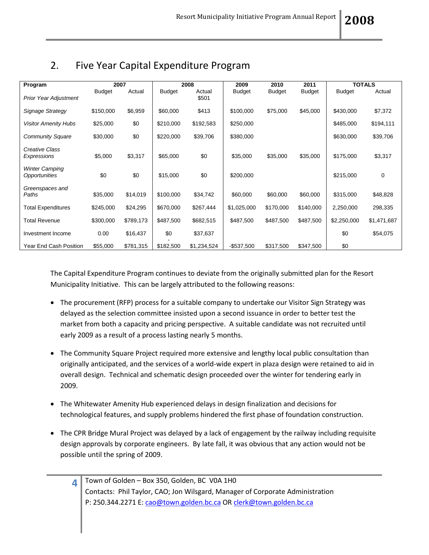| Program                                | 2007          |           | 2008          |                 | 2009          | 2011<br>2010  |               | <b>TOTALS</b> |             |
|----------------------------------------|---------------|-----------|---------------|-----------------|---------------|---------------|---------------|---------------|-------------|
| <b>Prior Year Adjustment</b>           | <b>Budget</b> | Actual    | <b>Budget</b> | Actual<br>\$501 | <b>Budget</b> | <b>Budget</b> | <b>Budget</b> | <b>Budget</b> | Actual      |
| Signage Strategy                       | \$150,000     | \$6,959   | \$60,000      | \$413           | \$100,000     | \$75,000      | \$45,000      | \$430,000     | \$7,372     |
| <b>Visitor Amenity Hubs</b>            | \$25,000      | \$0       | \$210,000     | \$192,583       | \$250,000     |               |               | \$485,000     | \$194,111   |
| <b>Community Square</b>                | \$30,000      | \$0       | \$220,000     | \$39,706        | \$380,000     |               |               | \$630,000     | \$39,706    |
| Creative Class<br>Expressions          | \$5,000       | \$3,317   | \$65,000      | \$0             | \$35,000      | \$35,000      | \$35,000      | \$175,000     | \$3,317     |
| <b>Winter Camping</b><br>Opportunities | \$0           | \$0       | \$15,000      | \$0             | \$200,000     |               |               | \$215,000     | 0           |
| Greenspaces and<br>Paths               | \$35,000      | \$14,019  | \$100,000     | \$34,742        | \$60,000      | \$60,000      | \$60,000      | \$315,000     | \$48,828    |
| <b>Total Expenditures</b>              | \$245,000     | \$24,295  | \$670,000     | \$267,444       | \$1,025,000   | \$170,000     | \$140,000     | 2,250,000     | 298,335     |
| <b>Total Revenue</b>                   | \$300,000     | \$789,173 | \$487,500     | \$682,515       | \$487,500     | \$487,500     | \$487,500     | \$2,250,000   | \$1,471,687 |
| Investment Income                      | 0.00          | \$16,437  | \$0           | \$37,637        |               |               |               | \$0           | \$54,075    |
| Year End Cash Position                 | \$55,000      | \$781,315 | \$182,500     | \$1,234,524     | $-$537,500$   | \$317,500     | \$347,500     | \$0           |             |

# 2. Five Year Capital Expenditure Program

The Capital Expenditure Program continues to deviate from the originally submitted plan for the Resort Municipality Initiative. This can be largely attributed to the following reasons:

- The procurement (RFP) process for a suitable company to undertake our Visitor Sign Strategy was delayed as the selection committee insisted upon a second issuance in order to better test the market from both a capacity and pricing perspective. A suitable candidate was not recruited until early 2009 as a result of a process lasting nearly 5 months.
- The Community Square Project required more extensive and lengthy local public consultation than originally anticipated, and the services of a world-wide expert in plaza design were retained to aid in overall design. Technical and schematic design proceeded over the winter for tendering early in 2009.
- The Whitewater Amenity Hub experienced delays in design finalization and decisions for technological features, and supply problems hindered the first phase of foundation construction.
- The CPR Bridge Mural Project was delayed by a lack of engagement by the railway including requisite design approvals by corporate engineers. By late fall, it was obvious that any action would not be possible until the spring of 2009.

| $\frac{1}{4}$ Town of Golden - Box 350, Golden, BC V0A 1H0                    |
|-------------------------------------------------------------------------------|
| Contacts: Phil Taylor, CAO; Jon Wilsgard, Manager of Corporate Administration |
| P: 250.344.2271 E: cao@town.golden.bc.ca OR clerk@town.golden.bc.ca           |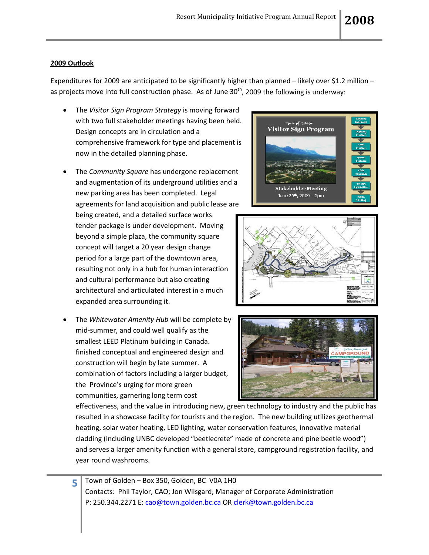#### **2009 Outlook**

Expenditures for 2009 are anticipated to be significantly higher than planned – likely over \$1.2 million – as projects move into full construction phase. As of June  $30<sup>th</sup>$ , 2009 the following is underway:

- The *Visitor Sign Program Strategy* is moving forward with two full stakeholder meetings having been held. Design concepts are in circulation and a comprehensive framework for type and placement is now in the detailed planning phase.
- The *Community Square* has undergone replacement and augmentation of its underground utilities and a new parking area has been completed. Legal agreements for land acquisition and public lease are

being created, and a detailed surface works tender package is under development. Moving beyond a simple plaza, the community square concept will target a 20 year design change period for a large part of the downtown area, resulting not only in a hub for human interaction and cultural performance but also creating architectural and articulated interest in a much expanded area surrounding it.

• The *Whitewater Amenity Hub* will be complete by mid-summer, and could well qualify as the smallest LEED Platinum building in Canada. finished conceptual and engineered design and construction will begin by late summer. A combination of factors including a larger budget, the Province's urging for more green communities, garnering long term cost







effectiveness, and the value in introducing new, green technology to industry and the public has resulted in a showcase facility for tourists and the region. The new building utilizes geothermal heating, solar water heating, LED lighting, water conservation features, innovative material cladding (including UNBC developed "beetlecrete" made of concrete and pine beetle wood") and serves a larger amenity function with a general store, campground registration facility, and year round washrooms.

**5** Town of Golden – Box 350, Golden, BC V0A 1H0 Contacts: Phil Taylor, CAO; Jon Wilsgard, Manager of Corporate Administration P: 250.344.2271 E[: cao@town.golden.bc.ca](mailto:cao@town.golden.bc.ca) O[R clerk@town.golden.bc.ca](mailto:clerk@town.golden.bc.ca)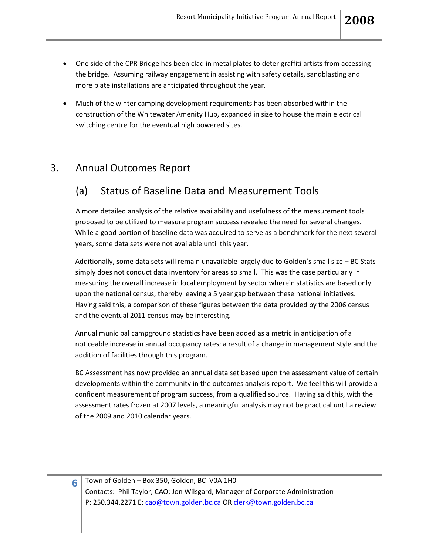- One side of the CPR Bridge has been clad in metal plates to deter graffiti artists from accessing the bridge. Assuming railway engagement in assisting with safety details, sandblasting and more plate installations are anticipated throughout the year.
- Much of the winter camping development requirements has been absorbed within the construction of the Whitewater Amenity Hub, expanded in size to house the main electrical switching centre for the eventual high powered sites.

## 3. Annual Outcomes Report

# (a) Status of Baseline Data and Measurement Tools

A more detailed analysis of the relative availability and usefulness of the measurement tools proposed to be utilized to measure program success revealed the need for several changes. While a good portion of baseline data was acquired to serve as a benchmark for the next several years, some data sets were not available until this year.

Additionally, some data sets will remain unavailable largely due to Golden's small size – BC Stats simply does not conduct data inventory for areas so small. This was the case particularly in measuring the overall increase in local employment by sector wherein statistics are based only upon the national census, thereby leaving a 5 year gap between these national initiatives. Having said this, a comparison of these figures between the data provided by the 2006 census and the eventual 2011 census may be interesting.

Annual municipal campground statistics have been added as a metric in anticipation of a noticeable increase in annual occupancy rates; a result of a change in management style and the addition of facilities through this program.

BC Assessment has now provided an annual data set based upon the assessment value of certain developments within the community in the outcomes analysis report. We feel this will provide a confident measurement of program success, from a qualified source. Having said this, with the assessment rates frozen at 2007 levels, a meaningful analysis may not be practical until a review of the 2009 and 2010 calendar years.

**6** Town of Golden – Box 350, Golden, BC V0A 1H0 Contacts: Phil Taylor, CAO; Jon Wilsgard, Manager of Corporate Administration P: 250.344.2271 E[: cao@town.golden.bc.ca](mailto:cao@town.golden.bc.ca) O[R clerk@town.golden.bc.ca](mailto:clerk@town.golden.bc.ca)